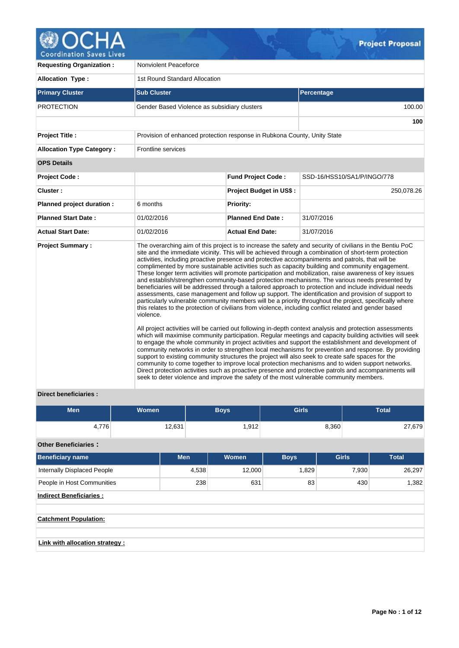

**Requesting Organization :** Nonviolent Peaceforce Allocation Type : 1st Round Standard Allocation **Primary Cluster Contract Cluster Sub Cluster Sub Cluster Sub Cluster Subset Cluster Subset Percentage** PROTECTION Gender Based Violence as subsidiary clusters 100.00 100.00 **100 Project Title :** Provision of enhanced protection response in Rubkona County, Unity State **Allocation Type Category :** Frontline services **OPS Details Project Code : Fund Project Code :** SSD-16/HSS10/SA1/P/INGO/778 **Cluster : Project Budget in US\$ :** 250,078.26 **Planned project duration :** 6 months **Priority: Planned Start Date :** 01/02/2016 **Planned End Date :** 31/07/2016 **Actual Start Date:** 01/02/2016 **Actual End Date:** 31/07/2016 **Project Summary :** The overarching aim of this project is to increase the safety and security of civilians in the Bentiu PoC site and the immediate vicinity. This will be achieved through a combination of short-term protection activities, including proactive presence and protective accompaniments and patrols, that will be complimented by more sustainable activities such as capacity building and community engagement. These longer term activities will promote participation and mobilization, raise awareness of key issues and establish/strengthen community-based protection mechanisms. The various needs presented by beneficiaries will be addressed through a tailored approach to protection and include individual needs assessments, case management and follow up support. The identification and provision of support to particularly vulnerable community members will be a priority throughout the project, specifically where this relates to the protection of civilians from violence, including conflict related and gender based violence. All project activities will be carried out following in-depth context analysis and protection assessments which will maximise community participation. Regular meetings and capacity building activities will seek to engage the whole community in project activities and support the establishment and development of community networks in order to strengthen local mechanisms for prevention and response. By providing support to existing community structures the project will also seek to create safe spaces for the community to come together to improve local protection mechanisms and to widen support networks. Direct protection activities such as proactive presence and protective patrols and accompaniments will seek to deter violence and improve the safety of the most vulnerable community members.

# **Direct beneficiaries :**

| <b>Men</b>                      | <b>Women</b> |            | <b>Boys</b> | <b>Girls</b> |              | <b>Total</b> |  |  |
|---------------------------------|--------------|------------|-------------|--------------|--------------|--------------|--|--|
| 4,776                           | 12,631       |            | 1,912       |              | 8,360        | 27,679       |  |  |
| <b>Other Beneficiaries:</b>     |              |            |             |              |              |              |  |  |
| <b>Beneficiary name</b>         |              | <b>Men</b> | Women       | <b>Boys</b>  | <b>Girls</b> | <b>Total</b> |  |  |
| Internally Displaced People     |              | 4,538      | 12,000      | 1,829        | 7,930        | 26,297       |  |  |
| People in Host Communities      |              | 238        | 631         | 83           |              | 1,382<br>430 |  |  |
| <b>Indirect Beneficiaries:</b>  |              |            |             |              |              |              |  |  |
|                                 |              |            |             |              |              |              |  |  |
| <b>Catchment Population:</b>    |              |            |             |              |              |              |  |  |
|                                 |              |            |             |              |              |              |  |  |
| Link with allocation strategy : |              |            |             |              |              |              |  |  |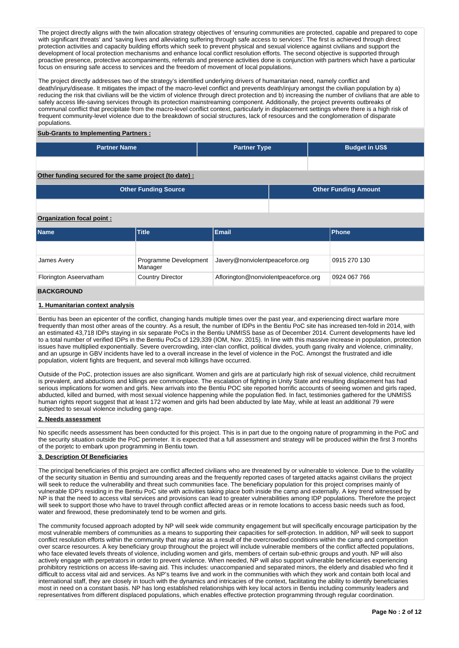The project directly aligns with the twin allocation strategy objectives of 'ensuring communities are protected, capable and prepared to cope with significant threats' and 'saving lives and alleviating suffering through safe access to services'. The first is achieved through direct protection activities and capacity building efforts which seek to prevent physical and sexual violence against civilians and support the development of local protection mechanisms and enhance local conflict resolution efforts. The second objective is supported through proactive presence, protective accompaniments, referrals and presence activities done is conjunction with partners which have a particular focus on ensuring safe access to services and the freedom of movement of local populations.

The project directly addresses two of the strategy's identified underlying drivers of humanitarian need, namely conflict and death/injury/disease. It mitigates the impact of the macro-level conflict and prevents death/injury amongst the civilian population by a) reducing the risk that civilians will be the victim of violence through direct protection and b) increasing the number of civilians that are able to safely access life-saving services through its protection mainstreaming component. Additionally, the project prevents outbreaks of communal conflict that precipitate from the macro-level conflict context, particularly in displacement settings where there is a high risk of frequent community-level violence due to the breakdown of social structures, lack of resources and the conglomeration of disparate populations.

#### **Sub-Grants to Implementing Partners :**

| <b>Partner Name</b> | <b>Partner Type</b> | <b>Budget in US\$</b> |
|---------------------|---------------------|-----------------------|
|                     |                     |                       |

## **Other funding secured for the same project (to date) :**

| Other Funding Source | Other Funding Amount |
|----------------------|----------------------|
|                      |                      |

#### **Organization focal point :**

| <b>Name</b>            | <b>Title</b>                     | <b>Email</b>                         | <b>IPhone</b> |
|------------------------|----------------------------------|--------------------------------------|---------------|
|                        |                                  |                                      |               |
| James Avery            | Programme Development<br>Manager | Javery@nonviolentpeaceforce.org      | 0915 270 130  |
| Florington Aseervatham | <b>Country Director</b>          | Aflorington@nonviolentpeaceforce.org | 0924 067 766  |
| <b>BACKGROUND</b>      |                                  |                                      |               |

## **1. Humanitarian context analysis**

Bentiu has been an epicenter of the conflict, changing hands multiple times over the past year, and experiencing direct warfare more frequently than most other areas of the country. As a result, the number of IDPs in the Bentiu PoC site has increased ten-fold in 2014, with an estimated 43,718 IDPs staying in six separate PoCs in the Bentiu UNMISS base as of December 2014. Current developments have led to a total number of verified IDPs in the Bentiu PoCs of 129,339 (IOM, Nov. 2015). In line with this massive increase in population, protection issues have multiplied exponentially. Severe overcrowding, inter-clan conflict, political divides, youth gang rivalry and violence, criminality, and an upsurge in GBV incidents have led to a overall increase in the level of violence in the PoC. Amongst the frustrated and idle population, violent fights are frequent, and several mob killings have occurred.

Outside of the PoC, protection issues are also significant. Women and girls are at particularly high risk of sexual violence, child recruitment is prevalent, and abductions and killings are commonplace. The escalation of fighting in Unity State and resulting displacement has had serious implications for women and girls. New arrivals into the Bentiu POC site reported horrific accounts of seeing women and girls raped, abducted, killed and burned, with most sexual violence happening while the population fled. In fact, testimonies gathered for the UNMISS human rights report suggest that at least 172 women and girls had been abducted by late May, while at least an additional 79 were subjected to sexual violence including gang-rape.

#### **2. Needs assessment**

No specific needs assessment has been conducted for this project. This is in part due to the ongoing nature of programming in the PoC and the security situation outside the PoC perimeter. It is expected that a full assessment and strategy will be produced within the first 3 months of the porjetc to embark upon programming in Bentiu town.

#### **3. Description Of Beneficiaries**

The principal beneficiaries of this project are conflict affected civilians who are threatened by or vulnerable to violence. Due to the volatility of the security situation in Bentiu and surrounding areas and the frequently reported cases of targeted attacks against civilians the project will seek to reduce the vulnerability and threat such communities face. The beneficiary population for this project comprises mainly of vulnerable IDP's residing in the Bentiu PoC site with activities taking place both inside the camp and externally. A key trend witnessed by NP is that the need to access vital services and provisions can lead to greater vulnerabilities among IDP populations. Therefore the project will seek to support those who have to travel through conflict affected areas or in remote locations to access basic needs such as food, water and firewood, these predominately tend to be women and girls.

The community focused approach adopted by NP will seek wide community engagement but will specifically encourage participation by the most vulnerable members of communities as a means to supporting their capacities for self-protection. In addition, NP will seek to support conflict resolution efforts within the community that may arise as a result of the overcrowded conditions within the camp and competition over scarce resources. A key beneficiary group throughout the project will include vulnerable members of the conflict affected populations, who face elevated levels threats of violence, including women and girls, members of certain sub-ethnic groups and youth. NP will also actively engage with perpetrators in order to prevent violence. When needed, NP will also support vulnerable beneficiaries experiencing prohibitory restrictions on access life-saving aid. This includes: unaccompanied and separated minors, the elderly and disabled who find it difficult to access vital aid and services. As NP's teams live and work in the communities with which they work and contain both local and international staff, they are closely in touch with the dynamics and intricacies of the context, facilitating the ability to identify beneficiaries most in need on a constant basis. NP has long established relationships with key local actors in Bentiu including community leaders and representatives from different displaced populations, which enables effective protection programming through regular coordination.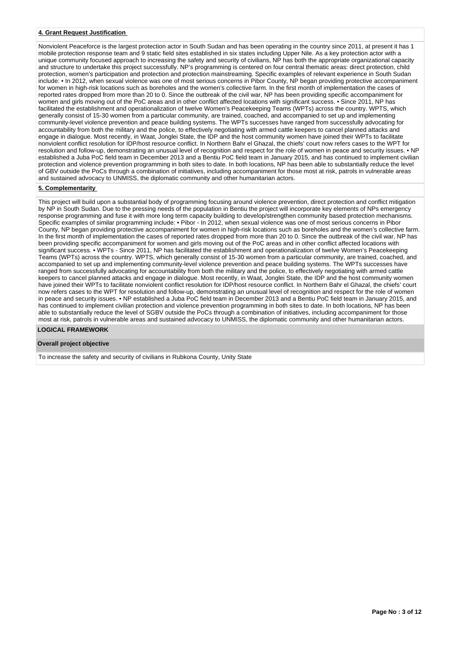#### **4. Grant Request Justification**

Nonviolent Peaceforce is the largest protection actor in South Sudan and has been operating in the country since 2011, at present it has 1 mobile protection response team and 9 static field sites established in six states including Upper Nile. As a key protection actor with a unique community focused approach to increasing the safety and security of civilians, NP has both the appropriate organizational capacity and structure to undertake this project successfully. NP's programming is centered on four central thematic areas: direct protection, child protection, women's participation and protection and protection mainstreaming. Specific examples of relevant experience in South Sudan include: • In 2012, when sexual violence was one of most serious concerns in Pibor County, NP began providing protective accompaniment for women in high-risk locations such as boreholes and the women's collective farm. In the first month of implementation the cases of reported rates dropped from more than 20 to 0. Since the outbreak of the civil war, NP has been providing specific accompaniment for women and girls moving out of the PoC areas and in other conflict affected locations with significant success. • Since 2011, NP has facilitated the establishment and operationalization of twelve Women's Peacekeeping Teams (WPTs) across the country. WPTS, which generally consist of 15-30 women from a particular community, are trained, coached, and accompanied to set up and implementing community-level violence prevention and peace building systems. The WPTs successes have ranged from successfully advocating for accountability from both the military and the police, to effectively negotiating with armed cattle keepers to cancel planned attacks and engage in dialogue. Most recently, in Waat, Jonglei State, the IDP and the host community women have joined their WPTs to facilitate nonviolent conflict resolution for IDP/host resource conflict. In Northern Bahr el Ghazal, the chiefs' court now refers cases to the WPT for resolution and follow-up, demonstrating an unusual level of recognition and respect for the role of women in peace and security issues. • NP established a Juba PoC field team in December 2013 and a Bentiu PoC field team in January 2015, and has continued to implement civilian protection and violence prevention programming in both sites to date. In both locations, NP has been able to substantially reduce the level of GBV outside the PoCs through a combination of initiatives, including accompaniment for those most at risk, patrols in vulnerable areas and sustained advocacy to UNMISS, the diplomatic community and other humanitarian actors.

## **5. Complementarity**

This project will build upon a substantial body of programming focusing around violence prevention, direct protection and conflict mitigation by NP in South Sudan. Due to the pressing needs of the population in Bentiu the project will incorporate key elements of NPs emergency response programming and fuse it with more long term capacity building to develop/strengthen community based protection mechanisms. Specific examples of similar programming include: • Pibor - In 2012, when sexual violence was one of most serious concerns in Pibor County, NP began providing protective accompaniment for women in high-risk locations such as boreholes and the women's collective farm. In the first month of implementation the cases of reported rates dropped from more than 20 to 0. Since the outbreak of the civil war, NP has been providing specific accompaniment for women and girls moving out of the PoC areas and in other conflict affected locations with significant success. • WPTs - Since 2011, NP has facilitated the establishment and operationalization of twelve Women's Peacekeeping Teams (WPTs) across the country. WPTS, which generally consist of 15-30 women from a particular community, are trained, coached, and accompanied to set up and implementing community-level violence prevention and peace building systems. The WPTs successes have ranged from successfully advocating for accountability from both the military and the police, to effectively negotiating with armed cattle keepers to cancel planned attacks and engage in dialogue. Most recently, in Waat, Jonglei State, the IDP and the host community women have joined their WPTs to facilitate nonviolent conflict resolution for IDP/host resource conflict. In Northern Bahr el Ghazal, the chiefs' court now refers cases to the WPT for resolution and follow-up, demonstrating an unusual level of recognition and respect for the role of women in peace and security issues. • NP established a Juba PoC field team in December 2013 and a Bentiu PoC field team in January 2015, and has continued to implement civilian protection and violence prevention programming in both sites to date. In both locations, NP has been able to substantially reduce the level of SGBV outside the PoCs through a combination of initiatives, including accompaniment for those most at risk, patrols in vulnerable areas and sustained advocacy to UNMISS, the diplomatic community and other humanitarian actors.

## **LOGICAL FRAMEWORK**

#### **Overall project objective**

To increase the safety and security of civilians in Rubkona County, Unity State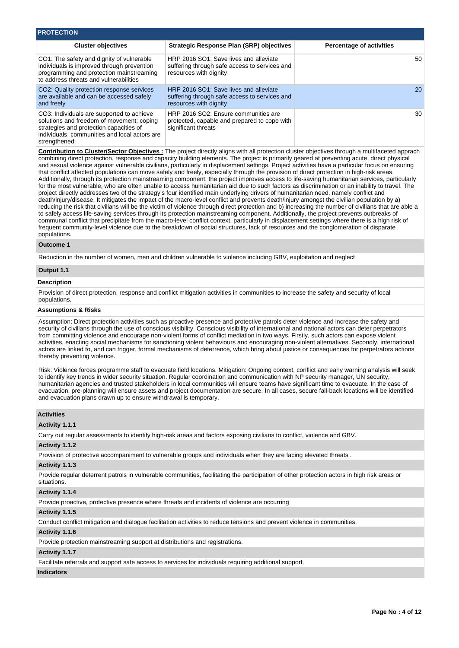| <b>PROTECTION</b>                                                                                                                                                                                  |                                                                                                                   |                                 |
|----------------------------------------------------------------------------------------------------------------------------------------------------------------------------------------------------|-------------------------------------------------------------------------------------------------------------------|---------------------------------|
| <b>Cluster objectives</b>                                                                                                                                                                          | <b>Strategic Response Plan (SRP) objectives</b>                                                                   | <b>Percentage of activities</b> |
| CO1: The safety and dignity of vulnerable<br>individuals is improved through prevention<br>programming and protection mainstreaming<br>to address threats and vulnerabilities                      | HRP 2016 SO1: Save lives and alleviate<br>suffering through safe access to services and<br>resources with dignity | 50                              |
| CO2: Quality protection response services<br>are available and can be accessed safely<br>and freely                                                                                                | HRP 2016 SO1: Save lives and alleviate<br>suffering through safe access to services and<br>resources with dignity | 20                              |
| CO3: Individuals are supported to achieve<br>solutions and freedom of movement; coping<br>strategies and protection capacities of<br>individuals, communities and local actors are<br>strengthened | HRP 2016 SO2: Ensure communities are<br>protected, capable and prepared to cope with<br>significant threats       | 30                              |

**Contribution to Cluster/Sector Objectives :** The project directly aligns with all protection cluster objectives through a multifaceted apprach combining direct protection, response and capacity building elements. The project is primarily geared at preventing acute, direct physical and sexual violence against vulnerable civilians, particularly in displacement settings. Project activities have a particular focus on ensuring that conflict affected populations can move safely and freely, especially through the provision of direct protection in high-risk areas. Additionally, through its protection mainstreaming component, the project improves access to life-saving humanitarian services, particularly for the most vulnerable, who are often unable to access humanitarian aid due to such factors as discrimination or an inability to travel. The project directly addresses two of the strategy's four identified main underlying drivers of humanitarian need, namely conflict and death/injury/disease. It mitigates the impact of the macro-level conflict and prevents death/injury amongst the civilian population by a) reducing the risk that civilians will be the victim of violence through direct protection and b) increasing the number of civilians that are able a to safely access life-saving services through its protection mainstreaming component. Additionally, the project prevents outbreaks of communal conflict that precipitate from the macro-level conflict context, particularly in displacement settings where there is a high risk of frequent community-level violence due to the breakdown of social structures, lack of resources and the conglomeration of disparate populations.

#### **Outcome 1**

Reduction in the number of women, men and children vulnerable to violence including GBV, exploitation and neglect

# **Output 1.1**

### **Description**

Provision of direct protection, response and conflict mitigation activities in communities to increase the safety and security of local populations.

#### **Assumptions & Risks**

Assumption: Direct protection activities such as proactive presence and protective patrols deter violence and increase the safety and security of civilians through the use of conscious visibility. Conscious visibility of international and national actors can deter perpetrators from committing violence and encourage non-violent forms of conflict mediation in two ways. Firstly, such actors can expose violent activities, enacting social mechanisms for sanctioning violent behaviours and encouraging non-violent alternatives. Secondly, international actors are linked to, and can trigger, formal mechanisms of deterrence, which bring about justice or consequences for perpetrators actions thereby preventing violence.

Risk: Violence forces programme staff to evacuate field locations. Mitigation: Ongoing context, conflict and early warning analysis will seek to identify key trends in wider security situation. Regular coordination and communication with NP security manager, UN security, humanitarian agencies and trusted stakeholders in local communities will ensure teams have significant time to evacuate. In the case of evacuation, pre-planning will ensure assets and project documentation are secure. In all cases, secure fall-back locations will be identified and evacuation plans drawn up to ensure withdrawal is temporary.

#### **Activities**

#### **Activity 1.1.1**

Carry out regular assessments to identify high-risk areas and factors exposing civilians to conflict, violence and GBV.

#### **Activity 1.1.2**

Provision of protective accompaniment to vulnerable groups and individuals when they are facing elevated threats .

#### **Activity 1.1.3**

Provide regular deterrent patrols in vulnerable communities, facilitating the participation of other protection actors in high risk areas or situations.

#### **Activity 1.1.4**

Provide proactive, protective presence where threats and incidents of violence are occurring

#### **Activity 1.1.5**

Conduct conflict mitigation and dialogue facilitation activities to reduce tensions and prevent violence in communities.

## **Activity 1.1.6**

Provide protection mainstreaming support at distributions and registrations.

#### **Activity 1.1.7**

Facilitate referrals and support safe access to services for individuals requiring additional support.

#### **Indicators**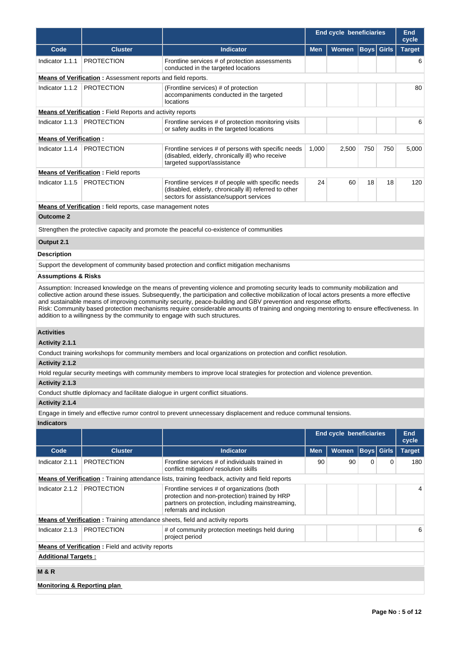|                                |                                                                            |                                                                                                                                                                                                                                                                                                                                                                                                                                                                                                                                            | <b>End cycle beneficiaries</b> |                                |             |              | <b>End</b><br>cycle |
|--------------------------------|----------------------------------------------------------------------------|--------------------------------------------------------------------------------------------------------------------------------------------------------------------------------------------------------------------------------------------------------------------------------------------------------------------------------------------------------------------------------------------------------------------------------------------------------------------------------------------------------------------------------------------|--------------------------------|--------------------------------|-------------|--------------|---------------------|
| Code                           | <b>Cluster</b>                                                             | <b>Indicator</b>                                                                                                                                                                                                                                                                                                                                                                                                                                                                                                                           | <b>Men</b>                     | Women                          | Boys  Girls |              | <b>Target</b>       |
| Indicator 1.1.1                | <b>PROTECTION</b>                                                          | Frontline services # of protection assessments<br>conducted in the targeted locations                                                                                                                                                                                                                                                                                                                                                                                                                                                      |                                |                                |             |              | 6                   |
|                                | <b>Means of Verification:</b> Assessment reports and field reports.        |                                                                                                                                                                                                                                                                                                                                                                                                                                                                                                                                            |                                |                                |             |              |                     |
| Indicator 1.1.2                | <b>PROTECTION</b>                                                          | (Frontline services) # of protection<br>accompaniments conducted in the targeted<br>locations                                                                                                                                                                                                                                                                                                                                                                                                                                              |                                |                                |             |              | 80                  |
|                                | <b>Means of Verification:</b> Field Reports and activity reports           |                                                                                                                                                                                                                                                                                                                                                                                                                                                                                                                                            |                                |                                |             |              |                     |
| Indicator 1.1.3                | <b>PROTECTION</b>                                                          | Frontline services # of protection monitoring visits<br>or safety audits in the targeted locations                                                                                                                                                                                                                                                                                                                                                                                                                                         |                                |                                |             |              | 6                   |
| <b>Means of Verification:</b>  |                                                                            |                                                                                                                                                                                                                                                                                                                                                                                                                                                                                                                                            |                                |                                |             |              |                     |
| Indicator 1.1.4                | <b>PROTECTION</b>                                                          | Frontline services # of persons with specific needs<br>(disabled, elderly, chronically ill) who receive<br>targeted support/assistance                                                                                                                                                                                                                                                                                                                                                                                                     | 1,000                          | 2,500                          | 750         | 750          | 5,000               |
|                                | <b>Means of Verification:</b> Field reports                                |                                                                                                                                                                                                                                                                                                                                                                                                                                                                                                                                            |                                |                                |             |              |                     |
| Indicator 1.1.5                | <b>PROTECTION</b>                                                          | Frontline services # of people with specific needs<br>(disabled, elderly, chronically ill) referred to other<br>sectors for assistance/support services                                                                                                                                                                                                                                                                                                                                                                                    | 24                             | 60                             | 18          | 18           | 120                 |
|                                | <b>Means of Verification</b> : field reports, case management notes        |                                                                                                                                                                                                                                                                                                                                                                                                                                                                                                                                            |                                |                                |             |              |                     |
| <b>Outcome 2</b>               |                                                                            |                                                                                                                                                                                                                                                                                                                                                                                                                                                                                                                                            |                                |                                |             |              |                     |
|                                |                                                                            | Strengthen the protective capacity and promote the peaceful co-existence of communities                                                                                                                                                                                                                                                                                                                                                                                                                                                    |                                |                                |             |              |                     |
| Output 2.1                     |                                                                            |                                                                                                                                                                                                                                                                                                                                                                                                                                                                                                                                            |                                |                                |             |              |                     |
| <b>Description</b>             |                                                                            |                                                                                                                                                                                                                                                                                                                                                                                                                                                                                                                                            |                                |                                |             |              |                     |
|                                |                                                                            | Support the development of community based protection and conflict mitigation mechanisms                                                                                                                                                                                                                                                                                                                                                                                                                                                   |                                |                                |             |              |                     |
| <b>Assumptions &amp; Risks</b> |                                                                            |                                                                                                                                                                                                                                                                                                                                                                                                                                                                                                                                            |                                |                                |             |              |                     |
|                                | addition to a willingness by the community to engage with such structures. | Assumption: Increased knowledge on the means of preventing violence and promoting security leads to community mobilization and<br>collective action around these issues. Subsequently, the participation and collective mobilization of local actors presents a more effective<br>and sustainable means of improving community security, peace-building and GBV prevention and response efforts.<br>Risk: Community based protection mechanisms require considerable amounts of training and ongoing mentoring to ensure effectiveness. In |                                |                                |             |              |                     |
| <b>Activities</b>              |                                                                            |                                                                                                                                                                                                                                                                                                                                                                                                                                                                                                                                            |                                |                                |             |              |                     |
| Activity 2.1.1                 |                                                                            |                                                                                                                                                                                                                                                                                                                                                                                                                                                                                                                                            |                                |                                |             |              |                     |
|                                |                                                                            | Conduct training workshops for community members and local organizations on protection and conflict resolution.                                                                                                                                                                                                                                                                                                                                                                                                                            |                                |                                |             |              |                     |
| Activity 2.1.2                 |                                                                            |                                                                                                                                                                                                                                                                                                                                                                                                                                                                                                                                            |                                |                                |             |              |                     |
|                                |                                                                            | Hold regular security meetings with community members to improve local strategies for protection and violence prevention.                                                                                                                                                                                                                                                                                                                                                                                                                  |                                |                                |             |              |                     |
| Activity 2.1.3                 |                                                                            |                                                                                                                                                                                                                                                                                                                                                                                                                                                                                                                                            |                                |                                |             |              |                     |
|                                |                                                                            | Conduct shuttle diplomacy and facilitate dialogue in urgent conflict situations.                                                                                                                                                                                                                                                                                                                                                                                                                                                           |                                |                                |             |              |                     |
| Activity 2.1.4                 |                                                                            | Engage in timely and effective rumor control to prevent unnecessary displacement and reduce communal tensions.                                                                                                                                                                                                                                                                                                                                                                                                                             |                                |                                |             |              |                     |
| <b>Indicators</b>              |                                                                            |                                                                                                                                                                                                                                                                                                                                                                                                                                                                                                                                            |                                |                                |             |              |                     |
|                                |                                                                            |                                                                                                                                                                                                                                                                                                                                                                                                                                                                                                                                            |                                | <b>End cycle beneficiaries</b> |             |              | <b>End</b><br>cycle |
| Code                           | <b>Cluster</b>                                                             | Indicator                                                                                                                                                                                                                                                                                                                                                                                                                                                                                                                                  | Men                            | <b>Women</b>                   | <b>Boys</b> | <b>Girls</b> | <b>Target</b>       |
| Indicator 2.1.1                | <b>PROTECTION</b>                                                          | Frontline services # of individuals trained in<br>conflict mitigation/ resolution skills                                                                                                                                                                                                                                                                                                                                                                                                                                                   | 90                             | 90                             | 0           | 0            | 180                 |
|                                |                                                                            | <b>Means of Verification</b> : Training attendance lists, training feedback, activity and field reports                                                                                                                                                                                                                                                                                                                                                                                                                                    |                                |                                |             |              |                     |
| Indicator 2.1.2                | <b>PROTECTION</b>                                                          | Frontline services # of organizations (both<br>protection and non-protection) trained by HRP<br>partners on protection, including mainstreaming,<br>referrals and inclusion                                                                                                                                                                                                                                                                                                                                                                |                                |                                |             | 4            |                     |
|                                |                                                                            | <b>Means of Verification:</b> Training attendance sheets, field and activity reports                                                                                                                                                                                                                                                                                                                                                                                                                                                       |                                |                                |             |              |                     |
| Indicator 2.1.3                | <b>PROTECTION</b>                                                          | # of community protection meetings held during<br>project period                                                                                                                                                                                                                                                                                                                                                                                                                                                                           |                                |                                |             |              | 6                   |
|                                | <b>Means of Verification:</b> Field and activity reports                   |                                                                                                                                                                                                                                                                                                                                                                                                                                                                                                                                            |                                |                                |             |              |                     |
| <b>Additional Targets:</b>     |                                                                            |                                                                                                                                                                                                                                                                                                                                                                                                                                                                                                                                            |                                |                                |             |              |                     |
| M & R                          |                                                                            |                                                                                                                                                                                                                                                                                                                                                                                                                                                                                                                                            |                                |                                |             |              |                     |

**Monitoring & Reporting plan**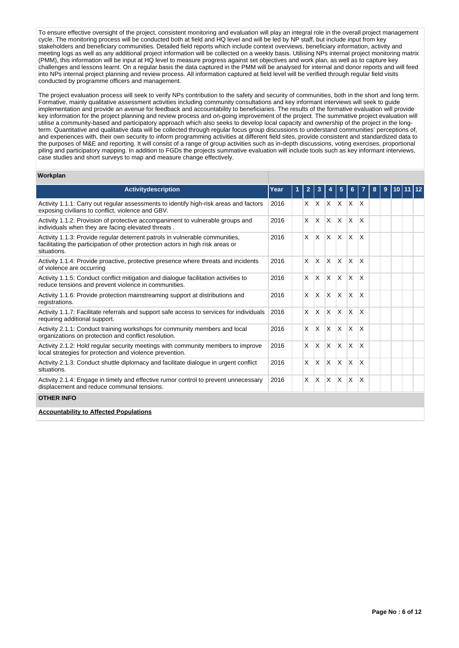To ensure effective oversight of the project, consistent monitoring and evaluation will play an integral role in the overall project management cycle. The monitoring process will be conducted both at field and HQ level and will be led by NP staff, but include input from key stakeholders and beneficiary communities. Detailed field reports which include context overviews, beneficiary information, activity and meeting logs as well as any additional project information will be collected on a weekly basis. Utilising NPs internal project monitoring matrix (PMM), this information will be input at HQ level to measure progress against set objectives and work plan, as well as to capture key challenges and lessons learnt. On a regular basis the data captured in the PMM will be analysed for internal and donor reports and will feed into NPs internal project planning and review process. All information captured at field level will be verified through regular field visits conducted by programme officers and management.

The project evaluation process will seek to verify NPs contribution to the safety and security of communities, both in the short and long term. Formative, mainly qualitative assessment activities including community consultations and key informant interviews will seek to guide implementation and provide an avenue for feedback and accountability to beneficiaries. The results of the formative evaluation will provide key information for the project planning and review process and on-going improvement of the project. The summative project evaluation will utilise a community-based and participatory approach which also seeks to develop local capacity and ownership of the project in the longterm. Quantitative and qualitative data will be collected through regular focus group discussions to understand communities' perceptions of, and experiences with, their own security to inform programming activities at different field sites, provide consistent and standardized data to the purposes of M&E and reporting. It will consist of a range of group activities such as in-depth discussions, voting exercises, proportional piling and participatory mapping. In addition to FGDs the projects summative evaluation will include tools such as key informant interviews, case studies and short surveys to map and measure change effectively.

#### **Workplan**

| <b>Activity description</b>                                                                                                                                                    | Year | $\overline{2}$ | 3        |              | 5            | 6            | 7                      | 8 | 9 | 10 |  |
|--------------------------------------------------------------------------------------------------------------------------------------------------------------------------------|------|----------------|----------|--------------|--------------|--------------|------------------------|---|---|----|--|
| Activity 1.1.1: Carry out regular assessments to identify high-risk areas and factors<br>exposing civilians to conflict, violence and GBV.                                     | 2016 | X              | IX.      | $\mathsf{X}$ | ΙX.          | <sup>X</sup> | $\mathsf{I}\mathsf{X}$ |   |   |    |  |
| Activity 1.1.2: Provision of protective accompaniment to vulnerable groups and<br>individuals when they are facing elevated threats.                                           | 2016 | X              | <b>X</b> | IX.          | $\mathsf{x}$ | X            | X                      |   |   |    |  |
| Activity 1.1.3: Provide regular deterrent patrols in vulnerable communities,<br>facilitating the participation of other protection actors in high risk areas or<br>situations. | 2016 | X              | ΙX.      | $\mathsf{X}$ | $\times$     | X            | X                      |   |   |    |  |
| Activity 1.1.4: Provide proactive, protective presence where threats and incidents<br>of violence are occurring                                                                | 2016 | X              | ΙX.      | ΙX.          | $\mathsf{x}$ | <b>X</b>     | <sup>X</sup>           |   |   |    |  |
| Activity 1.1.5: Conduct conflict mitigation and dialogue facilitation activities to<br>reduce tensions and prevent violence in communities.                                    | 2016 | X              | ΙX.      | $\mathsf{X}$ | $\times$     | $\mathsf{x}$ | X                      |   |   |    |  |
| Activity 1.1.6: Provide protection mainstreaming support at distributions and<br>registrations.                                                                                | 2016 | X              | <b>X</b> | ΙX.          | $\mathsf{x}$ | X            | X                      |   |   |    |  |
| Activity 1.1.7: Facilitate referrals and support safe access to services for individuals<br>requiring additional support.                                                      | 2016 | $\times$       | ΙX.      | $\mathsf{X}$ | IX.          | $\mathsf{X}$ | <sup>X</sup>           |   |   |    |  |
| Activity 2.1.1: Conduct training workshops for community members and local<br>organizations on protection and conflict resolution.                                             | 2016 | X              | ΙX.      | $\mathsf{X}$ | $\times$     | $\mathsf{x}$ | X                      |   |   |    |  |
| Activity 2.1.2: Hold regular security meetings with community members to improve<br>local strategies for protection and violence prevention.                                   | 2016 | X              | <b>X</b> | ΙX.          | $\mathsf{x}$ | X            | X                      |   |   |    |  |
| Activity 2.1.3: Conduct shuttle diplomacy and facilitate dialogue in urgent conflict<br>situations.                                                                            | 2016 | $\times$       | ΙX.      | $\mathsf{X}$ | IX.          | $\mathsf{X}$ | <sup>X</sup>           |   |   |    |  |
| Activity 2.1.4: Engage in timely and effective rumor control to prevent unnecessary<br>displacement and reduce communal tensions.                                              | 2016 | X              | ΙX.      | ΙX.          | X            | X            | X                      |   |   |    |  |
| <b>OTHER INFO</b>                                                                                                                                                              |      |                |          |              |              |              |                        |   |   |    |  |
| <b>Accountability to Affected Populations</b>                                                                                                                                  |      |                |          |              |              |              |                        |   |   |    |  |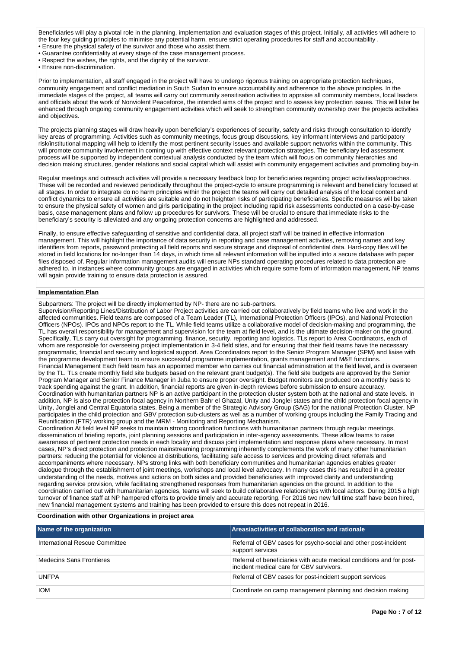Beneficiaries will play a pivotal role in the planning, implementation and evaluation stages of this project. Initially, all activities will adhere to the four key guiding principles to minimise any potential harm, ensure strict operating procedures for staff and accountability .

• Ensure the physical safety of the survivor and those who assist them.

• Guarantee confidentiality at every stage of the case management process.

• Respect the wishes, the rights, and the dignity of the survivor.

• Ensure non-discrimination.

Prior to implementation, all staff engaged in the project will have to undergo rigorous training on appropriate protection techniques, community engagement and conflict mediation in South Sudan to ensure accountability and adherence to the above principles. In the immediate stages of the project, all teams will carry out community sensitisation activities to appraise all community members, local leaders and officials about the work of Nonviolent Peaceforce, the intended aims of the project and to assess key protection issues. This will later be enhanced through ongoing community engagement activities which will seek to strengthen community ownership over the projects activities and objectives.

The projects planning stages will draw heavily upon beneficiary's experiences of security, safety and risks through consultation to identify key areas of programming. Activities such as community meetings, focus group discussions, key informant interviews and participatory risk/institutional mapping will help to identify the most pertinent security issues and available support networks within the community. This will promote community involvement in coming up with effective context relevant protection strategies. The beneficiary led assessment process will be supported by independent contextual analysis conducted by the team which will focus on community hierarchies and decision making structures, gender relations and social capital which will assist with community engagement activities and promoting buy-in.

Regular meetings and outreach activities will provide a necessary feedback loop for beneficiaries regarding project activities/approaches. These will be recorded and reviewed periodically throughout the project-cycle to ensure programming is relevant and beneficiary focused at all stages. In order to integrate do no harm principles within the project the teams will carry out detailed analysis of the local context and conflict dynamics to ensure all activities are suitable and do not heighten risks of participating beneficiaries. Specific measures will be taken to ensure the physical safety of women and girls participating in the project including rapid risk assessments conducted on a case-by-case basis, case management plans and follow up procedures for survivors. These will be crucial to ensure that immediate risks to the beneficiary's security is alleviated and any ongoing protection concerns are highlighted and addressed.

Finally, to ensure effective safeguarding of sensitive and confidential data, all project staff will be trained in effective information management. This will highlight the importance of data security in reporting and case management activities, removing names and key identifiers from reports, password protecting all field reports and secure storage and disposal of confidential data. Hard-copy files will be stored in field locations for no-longer than 14 days, in which time all relevant information will be inputted into a secure database with paper files disposed of. Regular information management audits will ensure NPs standard operating procedures related to data protection are adhered to. In instances where community groups are engaged in activities which require some form of information management, NP teams will again provide training to ensure data protection is assured.

## **Implementation Plan**

Subpartners: The project will be directly implemented by NP- there are no sub-partners.

Supervision/Reporting Lines/Distribution of Labor Project activities are carried out collaboratively by field teams who live and work in the affected communities. Field teams are composed of a Team Leader (TL), International Protection Officers (IPOs), and National Protection Officers (NPOs). IPOs and NPOs report to the TL. While field teams utilize a collaborative model of decision-making and programming, the TL has overall responsibility for management and supervision for the team at field level, and is the ultimate decision-maker on the ground. Specifically, TLs carry out oversight for programming, finance, security, reporting and logistics. TLs report to Area Coordinators, each of whom are responsible for overseeing project implementation in 3-4 field sites, and for ensuring that their field teams have the necessary programmatic, financial and security and logistical support. Area Coordinators report to the Senior Program Manager (SPM) and liaise with the programme development team to ensure successful programme implementation, grants management and M&E functions. Financial Management Each field team has an appointed member who carries out financial administration at the field level, and is overseen by the TL. TLs create monthly field site budgets based on the relevant grant budget(s). The field site budgets are approved by the Senior Program Manager and Senior Finance Manager in Juba to ensure proper oversight. Budget monitors are produced on a monthly basis to track spending against the grant. In addition, financial reports are given in-depth reviews before submission to ensure accuracy. Coordination with humanitarian partners NP is an active participant in the protection cluster system both at the national and state levels. In addition, NP is also the protection focal agency in Northern Bahr el Ghazal, Unity and Jonglei states and the child protection focal agency in Unity, Jonglei and Central Equatoria states. Being a member of the Strategic Advisory Group (SAG) for the national Protection Cluster, NP participates in the child protection and GBV protection sub-clusters as well as a number of working groups including the Family Tracing and Reunification (FTR) working group and the MRM - Monitoring and Reporting Mechanism.

Coordination At field level NP seeks to maintain strong coordination functions with humanitarian partners through regular meetings, dissemination of briefing reports, joint planning sessions and participation in inter-agency assessments. These allow teams to raise awareness of pertinent protection needs in each locality and discuss joint implementation and response plans where necessary. In most cases, NP's direct protection and protection mainstreaming programming inherently complements the work of many other humanitarian partners: reducing the potential for violence at distributions, facilitating safe access to services and providing direct referrals and accompaniments where necessary. NPs strong links with both beneficiary communities and humanitarian agencies enables greater dialogue through the establishment of joint meetings, workshops and local level advocacy. In many cases this has resulted in a greater understanding of the needs, motives and actions on both sides and provided beneficiaries with improved clarity and understanding regarding service provision, while facilitating strengthened responses from humanitarian agencies on the ground. In addition to the coordination carried out with humanitarian agencies, teams will seek to build collaborative relationships with local actors. During 2015 a high turnover of finance staff at NP hampered efforts to provide timely and accurate reporting. For 2016 two new full time staff have been hired, new financial management systems and training has been provided to ensure this does not repeat in 2016.

#### **Coordination with other Organizations in project area**

| Name of the organization       | Areas/activities of collaboration and rationale                                                                   |
|--------------------------------|-------------------------------------------------------------------------------------------------------------------|
| International Rescue Committee | Referral of GBV cases for psycho-social and other post-incident<br>support services                               |
| Medecins Sans Frontieres       | Referral of beneficiaries with acute medical conditions and for post-<br>incident medical care for GBV survivors. |
| <b>UNFPA</b>                   | Referral of GBV cases for post-incident support services                                                          |
| <b>IOM</b>                     | Coordinate on camp management planning and decision making                                                        |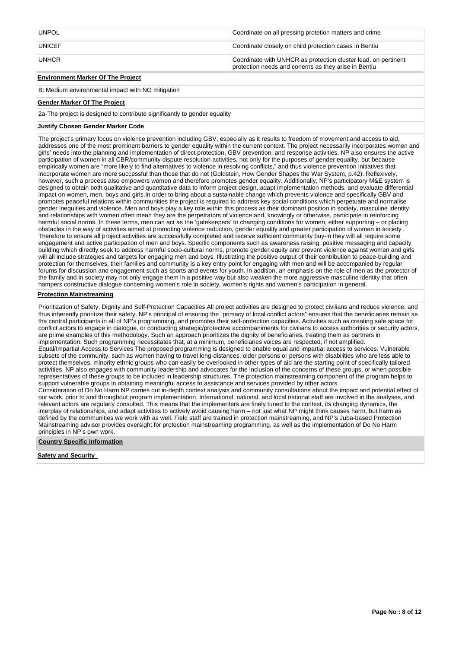| <b>UNPOL</b>                             | Coordinate on all pressing protetion matters and crime                                                                 |
|------------------------------------------|------------------------------------------------------------------------------------------------------------------------|
| <b>UNICEF</b>                            | Coordinate closely on child protection cases in Bentiu                                                                 |
| <b>UNHCR</b>                             | Coordinate with UNHCR as protection cluster lead, on pertinent<br>protection needs and conerns as they arise in Bentiu |
| <b>Environment Marker Of The Project</b> |                                                                                                                        |

B: Medium environmental impact with NO mitigation

#### **Gender Marker Of The Project**

2a-The project is designed to contribute significantly to gender equality

#### **Justify Chosen Gender Marker Code**

The project's primary focus on violence prevention including GBV, especially as it results to freedom of movement and access to aid, addresses one of the most prominent barriers to gender equality within the current context. The project necessarily incorporates women and girls' needs into the planning and implementation of direct protection, GBV prevention, and response activities. NP also ensures the active participation of women in all CBR/community dispute resolution activities, not only for the purposes of gender equality, but because empirically women are "more likely to find alternatives to violence in resolving conflicts," and thus violence prevention initiatives that incorporate women are more successful than those that do not (Goldstein, How Gender Shapes the War System, p.42). Reflexively, however, such a process also empowers women and therefore promotes gender equality. Additionally, NP's participatory M&E system is designed to obtain both qualitative and quantitative data to inform project design, adapt implementation methods, and evaluate differential impact on women, men, boys and girls.In order to bring about a sustainable change which prevents violence and specifically GBV and promotes peaceful relations within communities the project is required to address key social conditions which perpetuate and normalise gender inequities and violence. Men and boys play a key role within this process as their dominant position in society, masculine identity and relationships with women often mean they are the perpetrators of violence and, knowingly or otherwise, participate in reinforcing harmful social norms. In these terms, men can act as the 'gatekeepers' to changing conditions for women, either supporting – or placing obstacles in the way of activities aimed at promoting violence reduction, gender equality and greater participation of women in society . Therefore to ensure all project activities are successfully completed and receive sufficient community buy-in they will all require some engagement and active participation of men and boys. Specific components such as awareness raising, positive messaging and capacity building which directly seek to address harmful socio-cultural norms, promote gender equity and prevent violence against women and girls will all include strategies and targets for engaging men and boys. Illustrating the positive output of their contribution to peace-building and protection for themselves, their families and community is a key entry point for engaging with men and will be accompanied by regular forums for discussion and engagement such as sports and events for youth. In addition, an emphasis on the role of men as the protector of the family and in society may not only engage them in a positive way but also weaken the more aggressive masculine identity that often hampers constructive dialogue concerning women's role in society, women's rights and women's participation in general.

## **Protection Mainstreaming**

Prioritization of Safety, Dignity and Self-Protection Capacities All project activities are designed to protect civilians and reduce violence, and thus inherently prioritize their safety. NP's principal of ensuring the "primacy of local conflict actors" ensures that the beneficiaries remain as the central participants in all of NP's programming, and promotes their self-protection capacities. Activities such as creating safe space for conflict actors to engage in dialogue, or conducting strategic/protective accompaniments for civilians to access authorities or security actors, are prime examples of this methodology. Such an approach prioritizes the dignity of beneficiaries, treating them as partners in implementation. Such programming necessitates that, at a minimum, beneficiaries voices are respected, if not amplified. Equal/Impartial Access to Services The proposed programming is designed to enable equal and impartial access to services. Vulnerable subsets of the community, such as women having to travel long-distances, older persons or persons with disabilities who are less able to protect themselves, minority ethnic groups who can easily be overlooked in other types of aid are the starting point of specifically tailored activities. NP also engages with community leadership and advocates for the inclusion of the concerns of these groups, or when possible representatives of these groups to be included in leadership structures. The protection mainstreaming component of the program helps to support vulnerable groups in obtaining meaningful access to assistance and services provided by other actors. Consideration of Do No Harm NP carries out in-depth context analysis and community consultations about the impact and potential effect of our work, prior to and throughout program implementation. International, national, and local national staff are involved in the analyses, and relevant actors are regularly consulted. This means that the implementers are finely tuned to the context, its changing dynamics, the interplay of relationships, and adapt activities to actively avoid causing harm – not just what NP might think causes harm, but harm as defined by the communities we work with as well. Field staff are trained in protection mainstreaming, and NP's Juba-based Protection Mainstreaming advisor provides oversight for protection mainstreaming programming, as well as the implementation of Do No Harm principles in NP's own work.

#### **Country Specific Information**

**Safety and Security**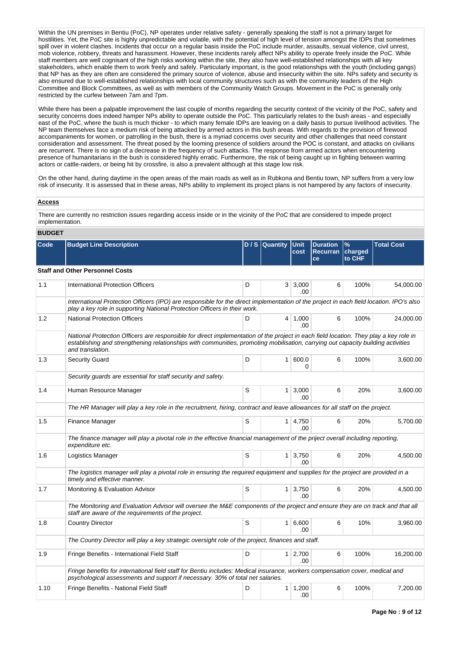Within the UN premises in Bentiu (PoC), NP operates under relative safety - generally speaking the staff is not a primary target for hostilities. Yet, the PoC site is highly unpredictable and volatile, with the potential of high level of tension amongst the IDPs that sometimes spill over in violent clashes. Incidents that occur on a regular basis inside the PoC include murder, assaults, sexual violence, civil unrest, mob violence, robbery, threats and harassment. However, these incidents rarely affect NPs ability to operate freely inside the PoC. While staff members are well cognisant of the high risks working within the site, they also have well-established relationships with all key stakeholders, which enable them to work freely and safely. Particularly important, is the good relationships with the youth (including gangs) that NP has as they are often are considered the primary source of violence, abuse and insecurity within the site. NPs safety and security is also ensured due to well-established relationships with local community structures such as with the community leaders of the High Committee and Block Committees, as well as with members of the Community Watch Groups. Movement in the PoC is generally only restricted by the curfew between 7am and 7pm.

While there has been a palpable improvement the last couple of months regarding the security context of the vicinity of the PoC, safety and security concerns does indeed hamper NPs ability to operate outside the PoC. This particularly relates to the bush areas - and especially east of the PoC, where the bush is much thicker - to which many female IDPs are leaving on a daily basis to pursue livelihood activities. The NP team themselves face a medium risk of being attacked by armed actors in this bush areas. With regards to the provision of firewood accompaniments for women, or patrolling in the bush, there is a myriad concerns over security and other challenges that need constant consideration and assessment. The threat posed by the looming presence of soldiers around the POC is constant, and attacks on civilians are recurrent. There is no sign of a decrease in the frequency of such attacks. The response from armed actors when encountering presence of humanitarians in the bush is considered highly erratic. Furthermore, the risk of being caught up in fighting between warring actors or cattle-raiders, or being hit by crossfire, is also a prevalent although at this stage low risk.

On the other hand, during daytime in the open areas of the main roads as well as in Rubkona and Bentiu town, NP suffers from a very low risk of insecurity. It is assessed that in these areas, NPs ability to implement its project plans is not hampered by any factors of insecurity.

#### **Access**

There are currently no restriction issues regarding access inside or in the vicinity of the PoC that are considered to impede project implementation.

## **BUDGET**

| Code | <b>Budget Line Description</b>                                                                                                                                                                                                                                                                |   | D / S Quantity | <b>Unit</b><br>cost          | <b>Duration</b><br><b>Recurran</b><br>ce | $\frac{9}{6}$<br>charged<br>to CHF | <b>Total Cost</b> |
|------|-----------------------------------------------------------------------------------------------------------------------------------------------------------------------------------------------------------------------------------------------------------------------------------------------|---|----------------|------------------------------|------------------------------------------|------------------------------------|-------------------|
|      | <b>Staff and Other Personnel Costs</b>                                                                                                                                                                                                                                                        |   |                |                              |                                          |                                    |                   |
| 1.1  | <b>International Protection Officers</b>                                                                                                                                                                                                                                                      | D |                | 3 3,000<br>.00               | 6                                        | 100%                               | 54,000.00         |
|      | International Protection Officers (IPO) are responsible for the direct implementation of the project in each field location. IPO's also<br>play a key role in supporting National Protection Officers in their work.                                                                          |   |                |                              |                                          |                                    |                   |
| 1.2  | <b>National Protection Officers</b>                                                                                                                                                                                                                                                           | D |                | $4 \mid 1,000$<br>.00        | 6                                        | 100%                               | 24,000.00         |
|      | National Protection Officers are responsible for direct implementation of the project in each field location. They play a key role in<br>establishing and strengthening relationships with communities, promoting mobilisation, carrying out capacity building activities<br>and translation. |   |                |                              |                                          |                                    |                   |
| 1.3  | <b>Security Guard</b>                                                                                                                                                                                                                                                                         | D | 1 <sup>1</sup> | 600.0<br>0                   | 6                                        | 100%                               | 3,600.00          |
|      | Security guards are essential for staff security and safety.                                                                                                                                                                                                                                  |   |                |                              |                                          |                                    |                   |
| 1.4  | Human Resource Manager                                                                                                                                                                                                                                                                        | S |                | $1 \mid 3,000$<br>.00        | 6                                        | 20%                                | 3.600.00          |
|      | The HR Manager will play a key role in the recruitment, hiring, contract and leave allowances for all staff on the project.                                                                                                                                                                   |   |                |                              |                                          |                                    |                   |
| 1.5  | Finance Manager                                                                                                                                                                                                                                                                               | S |                | 1 4,750<br>.00               | 6                                        | 20%                                | 5,700.00          |
|      | The finance manager will play a pivotal role in the effective financial management of the priject overall including reporting,<br>expenditure etc.                                                                                                                                            |   |                |                              |                                          |                                    |                   |
| 1.6  | Logistics Manager                                                                                                                                                                                                                                                                             | S |                | $1 \mid 3,750$<br>.00        | 6                                        | 20%                                | 4,500.00          |
|      | The logistics manager will play a pivotal role in ensuring the required equipment and supplies for the project are provided in a<br>timely and effective manner.                                                                                                                              |   |                |                              |                                          |                                    |                   |
| 1.7  | Monitoring & Evaluation Advisor                                                                                                                                                                                                                                                               | S |                | $1 \overline{)3,750}$<br>.00 | 6                                        | 20%                                | 4,500.00          |
|      | The Monitoring and Evaluation Advisor will oversee the M&E components of the project and ensure they are on track and that all<br>staff are aware of the requirements of the project.                                                                                                         |   |                |                              |                                          |                                    |                   |
| 1.8  | <b>Country Director</b>                                                                                                                                                                                                                                                                       | S |                | 1 6,600<br>.00               | 6                                        | 10%                                | 3,960.00          |
|      | The Country Director will play a key strategic oversight role of the project, finances and staff.                                                                                                                                                                                             |   |                |                              |                                          |                                    |                   |
| 1.9  | Fringe Benefits - International Field Staff                                                                                                                                                                                                                                                   | D |                | $1 \mid 2,700$<br>.00        | 6                                        | 100%                               | 16,200.00         |
|      | Fringe benefits for international field staff for Bentiu includes: Medical insurance, workers compensation cover, medical and<br>psychological assessments and support if necessary. 30% of total net salaries.                                                                               |   |                |                              |                                          |                                    |                   |
| 1.10 | Fringe Benefits - National Field Staff                                                                                                                                                                                                                                                        | D | 1 <sup>1</sup> | 1,200<br>.00                 | 6                                        | 100%                               | 7,200.00          |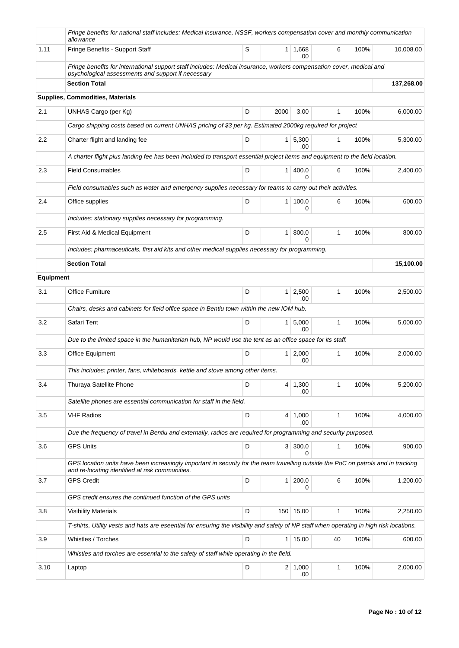|                  | Fringe benefits for national staff includes: Medical insurance, NSSF, workers compensation cover and monthly communication<br>allowance                                               |   |                |                       |    |      |            |
|------------------|---------------------------------------------------------------------------------------------------------------------------------------------------------------------------------------|---|----------------|-----------------------|----|------|------------|
| 1.11             | Fringe Benefits - Support Staff                                                                                                                                                       | S |                | 1 1,668<br>.00        | 6  | 100% | 10.008.00  |
|                  | Fringe benefits for international support staff includes: Medical insurance, workers compensation cover, medical and<br>psychological assessments and support if necessary            |   |                |                       |    |      |            |
|                  | <b>Section Total</b>                                                                                                                                                                  |   |                |                       |    |      | 137,268.00 |
|                  | Supplies, Commodities, Materials                                                                                                                                                      |   |                |                       |    |      |            |
| 2.1              | UNHAS Cargo (per Kg)                                                                                                                                                                  | D | 2000           | 3.00                  | 1  | 100% | 6,000.00   |
|                  | Cargo shipping costs based on current UNHAS pricing of \$3 per kg. Estimated 2000kg required for project                                                                              |   |                |                       |    |      |            |
| 2.2              | Charter flight and landing fee                                                                                                                                                        | D |                | $1 \mid 5,300$<br>.00 | 1  | 100% | 5,300.00   |
|                  | A charter flight plus landing fee has been included to transport essential project items and equipment to the field location.                                                         |   |                |                       |    |      |            |
| 2.3              | <b>Field Consumables</b>                                                                                                                                                              | D | 1              | 400.0<br>0            | 6  | 100% | 2,400.00   |
|                  | Field consumables such as water and emergency supplies necessary for teams to carry out their activities.                                                                             |   |                |                       |    |      |            |
| 2.4              | Office supplies                                                                                                                                                                       | D | 1 <sup>1</sup> | 100.0<br>0            | 6  | 100% | 600.00     |
|                  | Includes: stationary supplies necessary for programming.                                                                                                                              |   |                |                       |    |      |            |
| 2.5              | First Aid & Medical Equipment                                                                                                                                                         | D | 1              | 800.0<br>$\Omega$     | 1  | 100% | 800.00     |
|                  | Includes: pharmaceuticals, first aid kits and other medical supplies necessary for programming.                                                                                       |   |                |                       |    |      |            |
|                  | <b>Section Total</b>                                                                                                                                                                  |   |                |                       |    |      | 15,100.00  |
| <b>Equipment</b> |                                                                                                                                                                                       |   |                |                       |    |      |            |
| 3.1              | Office Furniture                                                                                                                                                                      | D |                | $1 \mid 2,500$<br>.00 | 1  | 100% | 2,500.00   |
|                  | Chairs, desks and cabinets for field office space in Bentiu town within the new IOM hub.                                                                                              |   |                |                       |    |      |            |
| 3.2              | Safari Tent                                                                                                                                                                           | D | 1 <sup>1</sup> | 5,000<br>.00.         | 1  | 100% | 5,000.00   |
|                  | Due to the limited space in the humanitarian hub, NP would use the tent as an office space for its staff.                                                                             |   |                |                       |    |      |            |
| 3.3              | Office Equipment                                                                                                                                                                      | D | 1 <sup>1</sup> | 2,000<br>.00          | 1  | 100% | 2,000.00   |
|                  | This includes: printer, fans, whiteboards, kettle and stove among other items.                                                                                                        |   |                |                       |    |      |            |
| 3.4              | Thuraya Satellite Phone                                                                                                                                                               | D |                | 4 1,300<br>.00        | 1  | 100% | 5,200.00   |
|                  | Satellite phones are essential communication for staff in the field.                                                                                                                  |   |                |                       |    |      |            |
| 3.5              | <b>VHF Radios</b>                                                                                                                                                                     | D |                | $4 \mid 1,000$<br>.00 | 1  | 100% | 4,000.00   |
|                  | Due the frequency of travel in Bentiu and externally, radios are required for programming and security purposed.                                                                      |   |                |                       |    |      |            |
| 3.6              | <b>GPS Units</b>                                                                                                                                                                      | D | 3 <sup>1</sup> | 300.0                 | 1  | 100% | 900.00     |
|                  | GPS location units have been increasingly important in security for the team travelling outside the PoC on patrols and in tracking<br>and re-locating identified at risk communities. |   |                |                       |    |      |            |
| 3.7              | <b>GPS Credit</b>                                                                                                                                                                     | D | 1 <sup>1</sup> | 200.0<br>0            | 6  | 100% | 1,200.00   |
|                  | GPS credit ensures the continued function of the GPS units                                                                                                                            |   |                |                       |    |      |            |
| 3.8              | <b>Visibility Materials</b>                                                                                                                                                           | D |                | 150 15.00             | 1  | 100% | 2,250.00   |
|                  | T-shirts, Utility vests and hats are eseential for ensuring the visibility and safety of NP staff when operating in high risk locations.                                              |   |                |                       |    |      |            |
| 3.9              | Whistles / Torches                                                                                                                                                                    | D |                | 1 15.00               | 40 | 100% | 600.00     |
|                  | Whistles and torches are essential to the safety of staff while operating in the field.                                                                                               |   |                |                       |    |      |            |
| 3.10             | Laptop                                                                                                                                                                                | D |                | 2 1,000<br>.00        | 1  | 100% | 2,000.00   |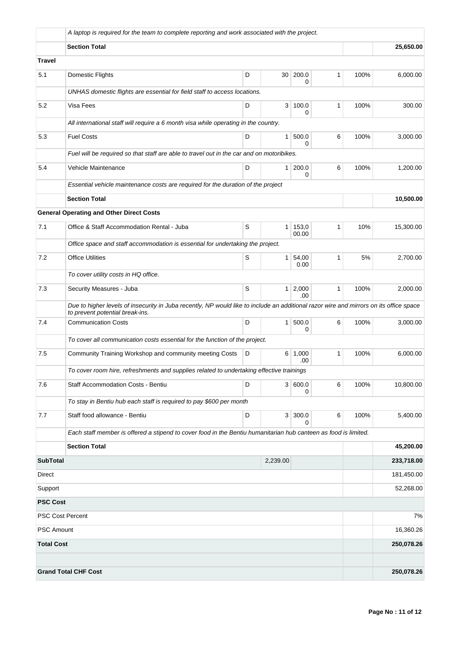|                         | A laptop is required for the team to complete reporting and work associated with the project.                                                                             |   |                 |                |              |      |            |
|-------------------------|---------------------------------------------------------------------------------------------------------------------------------------------------------------------------|---|-----------------|----------------|--------------|------|------------|
|                         | <b>Section Total</b>                                                                                                                                                      |   |                 |                |              |      | 25,650.00  |
| Travel                  |                                                                                                                                                                           |   |                 |                |              |      |            |
| 5.1                     | Domestic Flights                                                                                                                                                          | D | 30 <sup>1</sup> | 200.0<br>0     | $\mathbf{1}$ | 100% | 6,000.00   |
|                         | UNHAS domestic flights are essential for field staff to access locations.                                                                                                 |   |                 |                |              |      |            |
| 5.2                     | Visa Fees                                                                                                                                                                 | D | 3 <sup>1</sup>  | 100.0<br>0     | 1            | 100% | 300.00     |
|                         | All international staff will require a 6 month visa while operating in the country.                                                                                       |   |                 |                |              |      |            |
| 5.3                     | <b>Fuel Costs</b>                                                                                                                                                         | D | $\mathbf{1}$    | 500.0<br>0     | 6            | 100% | 3,000.00   |
|                         | Fuel will be required so that staff are able to travel out in the car and on motoribikes.                                                                                 |   |                 |                |              |      |            |
| 5.4                     | Vehicle Maintenance                                                                                                                                                       | D | $\mathbf{1}$    | 200.0<br>0     | 6            | 100% | 1,200.00   |
|                         | Essential vehicle maintenance costs are required for the duration of the project                                                                                          |   |                 |                |              |      |            |
|                         | <b>Section Total</b>                                                                                                                                                      |   |                 |                |              |      | 10,500.00  |
|                         | <b>General Operating and Other Direct Costs</b>                                                                                                                           |   |                 |                |              |      |            |
| 7.1                     | Office & Staff Accommodation Rental - Juba                                                                                                                                | S | 1               | 153,0<br>00.00 | 1            | 10%  | 15,300.00  |
|                         | Office space and staff accommodation is essential for undertaking the project.                                                                                            |   |                 |                |              |      |            |
| 7.2                     | <b>Office Utilities</b>                                                                                                                                                   | S | 1               | 54,00<br>0.00  | $\mathbf{1}$ | 5%   | 2,700.00   |
|                         | To cover utility costs in HQ office.                                                                                                                                      |   |                 |                |              |      |            |
| 7.3                     | Security Measures - Juba                                                                                                                                                  | S | $\mathbf{1}$    | 2,000<br>.00   | $\mathbf{1}$ | 100% | 2,000.00   |
|                         | Due to higher levels of insecurity in Juba recently, NP would like to include an additional razor wire and mirrors on its office space<br>to prevent potential break-ins. |   |                 |                |              |      |            |
| 7.4                     | <b>Communication Costs</b>                                                                                                                                                | D | 1 <sup>1</sup>  | 500.0<br>0     | 6            | 100% | 3,000.00   |
|                         | To cover all communication costs essential for the function of the project.                                                                                               |   |                 |                |              |      |            |
| 7.5                     | Community Training Workshop and community meeting Costs                                                                                                                   | D | 6 <sup>1</sup>  | 1,000<br>.00   | $\mathbf{1}$ | 100% | 6,000.00   |
|                         | To cover room hire, refreshments and supplies related to undertaking effective trainings                                                                                  |   |                 |                |              |      |            |
| 7.6                     | Staff Accommodation Costs - Bentiu                                                                                                                                        | D |                 | 3   600.0<br>0 | 6            | 100% | 10,800.00  |
|                         | To stay in Bentiu hub each staff is required to pay \$600 per month                                                                                                       |   |                 |                |              |      |            |
| 7.7                     | Staff food allowance - Bentiu                                                                                                                                             | D |                 | 3 300.0<br>0   | 6            | 100% | 5,400.00   |
|                         | Each staff member is offered a stipend to cover food in the Bentiu humanitarian hub canteen as food is limited.                                                           |   |                 |                |              |      |            |
|                         | <b>Section Total</b>                                                                                                                                                      |   |                 |                |              |      | 45,200.00  |
| <b>SubTotal</b>         |                                                                                                                                                                           |   | 2,239.00        |                |              |      | 233,718.00 |
| Direct                  |                                                                                                                                                                           |   |                 |                |              |      | 181,450.00 |
| Support                 |                                                                                                                                                                           |   |                 |                |              |      | 52,268.00  |
| <b>PSC Cost</b>         |                                                                                                                                                                           |   |                 |                |              |      |            |
| <b>PSC Cost Percent</b> |                                                                                                                                                                           |   |                 |                |              |      | 7%         |
| <b>PSC Amount</b>       |                                                                                                                                                                           |   |                 |                |              |      | 16,360.26  |
| <b>Total Cost</b>       |                                                                                                                                                                           |   |                 |                |              |      | 250,078.26 |
|                         | <b>Grand Total CHF Cost</b>                                                                                                                                               |   |                 |                |              |      | 250,078.26 |
|                         |                                                                                                                                                                           |   |                 |                |              |      |            |